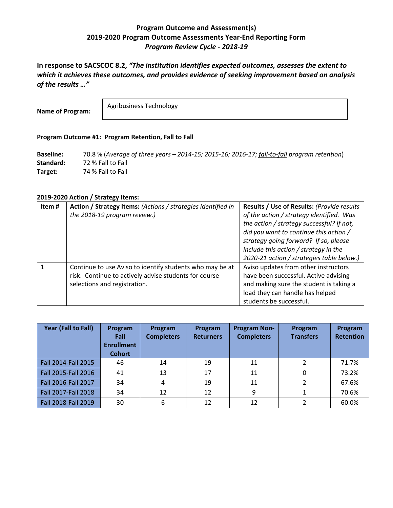# **Program Outcome and Assessment(s) 2019‐2020 Program Outcome Assessments Year‐End Reporting Form**  *Program Review Cycle ‐ 2018‐19*

**In response to SACSCOC 8.2,** *"The institution identifies expected outcomes, assesses the extent to which it achieves these outcomes, and provides evidence of seeking improvement based on analysis of the results …"* 

**Name of Program:**

Agribusiness Technology

### **Program Outcome #1: Program Retention, Fall to Fall**

**Baseline:**  70.8 % (*Average of three years – 2014‐15; 2015‐16; 2016‐17; fall‐to‐fall program retention*) **Standard:**  72 % Fall to Fall Target: 74 % Fall to Fall

### **2019‐2020 Action / Strategy Items:**

| Item# | Action / Strategy Items: (Actions / strategies identified in<br>the 2018-19 program review.)                                                      | Results / Use of Results: (Provide results<br>of the action / strategy identified. Was<br>the action / strategy successful? If not,<br>did you want to continue this action /<br>strategy going forward? If so, please<br>include this action / strategy in the<br>2020-21 action / strategies table below.) |
|-------|---------------------------------------------------------------------------------------------------------------------------------------------------|--------------------------------------------------------------------------------------------------------------------------------------------------------------------------------------------------------------------------------------------------------------------------------------------------------------|
|       | Continue to use Aviso to identify students who may be at<br>risk. Continue to actively advise students for course<br>selections and registration. | Aviso updates from other instructors<br>have been successful. Active advising<br>and making sure the student is taking a<br>load they can handle has helped<br>students be successful.                                                                                                                       |

| Year (Fall to Fall) | Program<br>Fall<br><b>Enrollment</b><br><b>Cohort</b> | Program<br><b>Completers</b> | Program<br><b>Returners</b> | <b>Program Non-</b><br><b>Completers</b> | Program<br><b>Transfers</b> | Program<br><b>Retention</b> |
|---------------------|-------------------------------------------------------|------------------------------|-----------------------------|------------------------------------------|-----------------------------|-----------------------------|
| Fall 2014-Fall 2015 | 46                                                    | 14                           | 19                          | 11                                       |                             | 71.7%                       |
| Fall 2015-Fall 2016 | 41                                                    | 13                           | 17                          | 11                                       | 0                           | 73.2%                       |
| Fall 2016-Fall 2017 | 34                                                    | 4                            | 19                          | 11                                       | າ                           | 67.6%                       |
| Fall 2017-Fall 2018 | 34                                                    | 12                           | 12                          | 9                                        |                             | 70.6%                       |
| Fall 2018-Fall 2019 | 30                                                    | 6                            | 12                          | 12                                       |                             | 60.0%                       |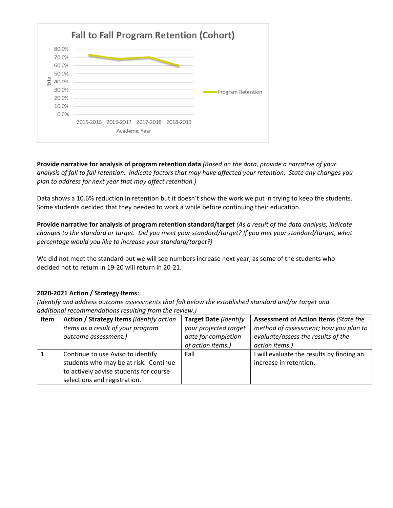

**Provide narrative for analysis of program retention data** *(Based on the data, provide a narrative of your analysis of fall to fall retention. Indicate factors that may have affected your retention. State any changes you plan to address for next year that may affect retention.)*

Data shows a 10.6% reduction in retention but it doesn't show the work we put in trying to keep the students. Some students decided that they needed to work a while before continuing their education.

**Provide narrative for analysis of program retention standard/target** *(As a result of the data analysis, indicate changes to the standard or target. Did you meet your standard/target? If you met your standard/target, what percentage would you like to increase your standard/target?)* 

We did not meet the standard but we will see numbers increase next year, as some of the students who decided not to return in 19‐20 will return in 20‐21.

### **2020‐2021 Action / Strategy Items:**

| Item | Action / Strategy Items (Identify action | <b>Target Date (Identify</b> | <b>Assessment of Action Items (State the</b> |
|------|------------------------------------------|------------------------------|----------------------------------------------|
|      | items as a result of your program        | your projected target        | method of assessment; how you plan to        |
|      | outcome assessment.)                     | date for completion          | evaluate/assess the results of the           |
|      |                                          | of action items.)            | action items.)                               |
|      | Continue to use Aviso to identify        | Fall                         | I will evaluate the results by finding an    |
|      | students who may be at risk. Continue    |                              | increase in retention.                       |
|      | to actively advise students for course   |                              |                                              |
|      | selections and registration.             |                              |                                              |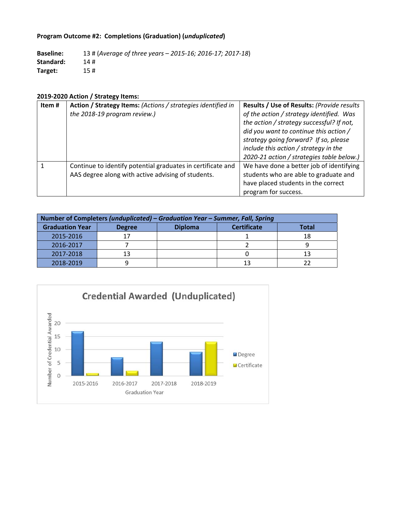# **Program Outcome #2: Completions (Graduation) (***unduplicated***)**

**Baseline:**  13 # (*Average of three years – 2015‐16; 2016‐17; 2017‐18*) **Standard:**  14 # **Target:**  15 #

# **2019‐2020 Action / Strategy Items:**

| Item# | Action / Strategy Items: (Actions / strategies identified in | Results / Use of Results: (Provide results |
|-------|--------------------------------------------------------------|--------------------------------------------|
|       | the 2018-19 program review.)                                 | of the action / strategy identified. Was   |
|       |                                                              | the action / strategy successful? If not,  |
|       |                                                              | did you want to continue this action /     |
|       |                                                              | strategy going forward? If so, please      |
|       |                                                              | include this action / strategy in the      |
|       |                                                              | 2020-21 action / strategies table below.)  |
|       | Continue to identify potential graduates in certificate and  | We have done a better job of identifying   |
|       | AAS degree along with active advising of students.           | students who are able to graduate and      |
|       |                                                              | have placed students in the correct        |
|       |                                                              | program for success.                       |

| Number of Completers (unduplicated) – Graduation Year – Summer, Fall, Spring |    |  |                    |              |  |  |
|------------------------------------------------------------------------------|----|--|--------------------|--------------|--|--|
| <b>Diploma</b><br><b>Graduation Year</b><br><b>Degree</b>                    |    |  | <b>Certificate</b> | <b>Total</b> |  |  |
| 2015-2016                                                                    | 17 |  |                    | 18           |  |  |
| 2016-2017                                                                    |    |  |                    |              |  |  |
| 2017-2018                                                                    | 13 |  |                    |              |  |  |
| 2018-2019                                                                    |    |  | 13                 |              |  |  |

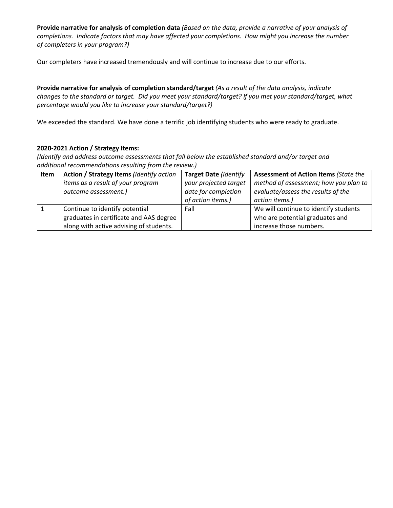**Provide narrative for analysis of completion data** *(Based on the data, provide a narrative of your analysis of completions. Indicate factors that may have affected your completions. How might you increase the number of completers in your program?)*

Our completers have increased tremendously and will continue to increase due to our efforts.

**Provide narrative for analysis of completion standard/target** *(As a result of the data analysis, indicate changes to the standard or target. Did you meet your standard/target? If you met your standard/target, what percentage would you like to increase your standard/target?)* 

We exceeded the standard. We have done a terrific job identifying students who were ready to graduate.

### **2020‐2021 Action / Strategy Items:**

| Item | Action / Strategy Items (Identify action | Target Date (Identify | <b>Assessment of Action Items (State the</b> |
|------|------------------------------------------|-----------------------|----------------------------------------------|
|      | items as a result of your program        | your projected target | method of assessment; how you plan to        |
|      | outcome assessment.)                     | date for completion   | evaluate/assess the results of the           |
|      |                                          | of action items.)     | action items.)                               |
|      | Continue to identify potential           | Fall                  | We will continue to identify students        |
|      | graduates in certificate and AAS degree  |                       | who are potential graduates and              |
|      | along with active advising of students.  |                       | increase those numbers.                      |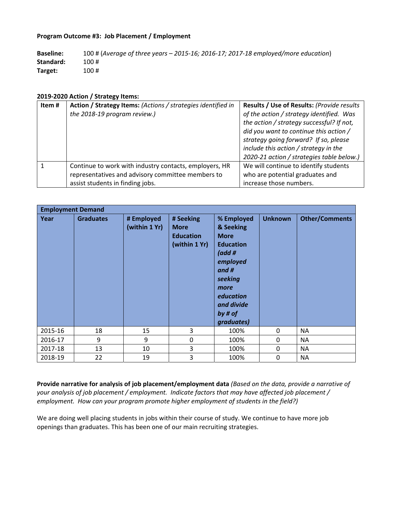#### **Program Outcome #3: Job Placement / Employment**

**Baseline:**  100 # (*Average of three years – 2015‐16; 2016‐17; 2017‐18 employed/more education*) **Standard:**  100 # **Target:**  100 #

#### **2019‐2020 Action / Strategy Items:**

| Item# | Action / Strategy Items: (Actions / strategies identified in | Results / Use of Results: (Provide results |  |
|-------|--------------------------------------------------------------|--------------------------------------------|--|
|       | the 2018-19 program review.)                                 | of the action / strategy identified. Was   |  |
|       |                                                              | the action / strategy successful? If not,  |  |
|       |                                                              | did you want to continue this action /     |  |
|       |                                                              | strategy going forward? If so, please      |  |
|       |                                                              | include this action / strategy in the      |  |
|       |                                                              | 2020-21 action / strategies table below.)  |  |
|       | Continue to work with industry contacts, employers, HR       | We will continue to identify students      |  |
|       | representatives and advisory committee members to            | who are potential graduates and            |  |
|       | assist students in finding jobs.                             | increase those numbers.                    |  |

|         | <b>Employment Demand</b> |                             |                                                               |                                                                                                                                                                 |                |                       |  |
|---------|--------------------------|-----------------------------|---------------------------------------------------------------|-----------------------------------------------------------------------------------------------------------------------------------------------------------------|----------------|-----------------------|--|
| Year    | <b>Graduates</b>         | # Employed<br>(within 1 Yr) | # Seeking<br><b>More</b><br><b>Education</b><br>(within 1 Yr) | % Employed<br>& Seeking<br><b>More</b><br><b>Education</b><br>(add#<br>employed<br>and #<br>seeking<br>more<br>education<br>and divide<br>by # of<br>graduates) | <b>Unknown</b> | <b>Other/Comments</b> |  |
| 2015-16 | 18                       | 15                          | 3                                                             | 100%                                                                                                                                                            | $\mathbf 0$    | <b>NA</b>             |  |
| 2016-17 | 9                        | 9                           | 0                                                             | 100%                                                                                                                                                            | 0              | <b>NA</b>             |  |
| 2017-18 | 13                       | 10                          | 3                                                             | 100%                                                                                                                                                            | 0              | <b>NA</b>             |  |
| 2018-19 | 22                       | 19                          | 3                                                             | 100%                                                                                                                                                            | 0              | <b>NA</b>             |  |

**Provide narrative for analysis of job placement/employment data** *(Based on the data, provide a narrative of your analysis of job placement / employment. Indicate factors that may have affected job placement / employment. How can your program promote higher employment of students in the field?)*

We are doing well placing students in jobs within their course of study. We continue to have more job openings than graduates. This has been one of our main recruiting strategies.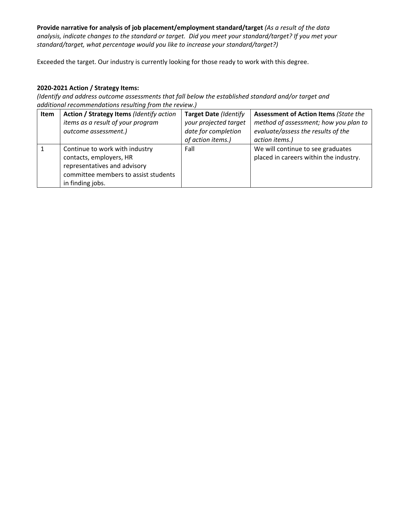**Provide narrative for analysis of job placement/employment standard/target** *(As a result of the data analysis, indicate changes to the standard or target. Did you meet your standard/target? If you met your standard/target, what percentage would you like to increase your standard/target?)* 

Exceeded the target. Our industry is currently looking for those ready to work with this degree.

## **2020‐2021 Action / Strategy Items:**

| Item | Action / Strategy Items (Identify action<br>items as a result of your program<br>outcome assessment.)                                                 | Target Date (Identify<br>your projected target<br>date for completion<br>of action items.) | <b>Assessment of Action Items (State the</b><br>method of assessment; how you plan to<br>evaluate/assess the results of the<br>action items.) |
|------|-------------------------------------------------------------------------------------------------------------------------------------------------------|--------------------------------------------------------------------------------------------|-----------------------------------------------------------------------------------------------------------------------------------------------|
|      | Continue to work with industry<br>contacts, employers, HR<br>representatives and advisory<br>committee members to assist students<br>in finding jobs. | Fall                                                                                       | We will continue to see graduates<br>placed in careers within the industry.                                                                   |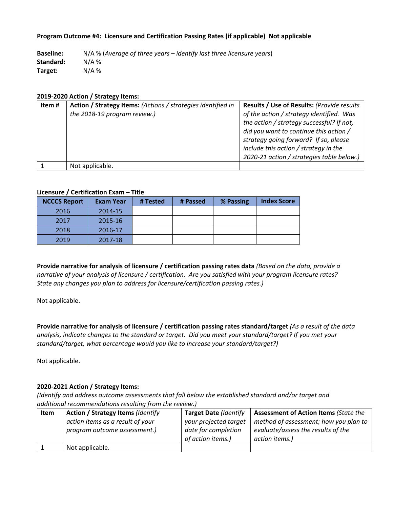#### **Program Outcome #4: Licensure and Certification Passing Rates (if applicable) Not applicable**

**Baseline:**  N/A % (*Average of three years – identify last three licensure years*) **Standard:**  N/A % **Target:**  N/A %

#### **2019‐2020 Action / Strategy Items:**

| Item# | Action / Strategy Items: (Actions / strategies identified in | <b>Results / Use of Results: (Provide results)</b> |
|-------|--------------------------------------------------------------|----------------------------------------------------|
|       | the 2018-19 program review.)                                 | of the action / strategy identified. Was           |
|       |                                                              | the action / strategy successful? If not,          |
|       |                                                              | did you want to continue this action /             |
|       |                                                              | strategy going forward? If so, please              |
|       |                                                              | include this action / strategy in the              |
|       |                                                              | 2020-21 action / strategies table below.)          |
|       | Not applicable.                                              |                                                    |

### **Licensure / Certification Exam – Title**

| <b>NCCCS Report</b> | <b>Exam Year</b> | # Tested | # Passed | % Passing | <b>Index Score</b> |
|---------------------|------------------|----------|----------|-----------|--------------------|
| 2016                | 2014-15          |          |          |           |                    |
| 2017                | 2015-16          |          |          |           |                    |
| 2018                | 2016-17          |          |          |           |                    |
| 2019                | 2017-18          |          |          |           |                    |

**Provide narrative for analysis of licensure / certification passing rates data** *(Based on the data, provide a*  narrative of your analysis of licensure / certification. Are you satisfied with your program licensure rates? *State any changes you plan to address for licensure/certification passing rates.)*

Not applicable.

**Provide narrative for analysis of licensure / certification passing rates standard/target** *(As a result of the data analysis, indicate changes to the standard or target. Did you meet your standard/target? If you met your standard/target, what percentage would you like to increase your standard/target?)* 

Not applicable.

### **2020‐2021 Action / Strategy Items:**

| Item | <b>Action / Strategy Items (Identify</b> | <b>Target Date (Identify</b> | <b>Assessment of Action Items (State the</b> |
|------|------------------------------------------|------------------------------|----------------------------------------------|
|      | action items as a result of your         | your projected target        | method of assessment; how you plan to        |
|      | program outcome assessment.)             | date for completion          | evaluate/assess the results of the           |
|      |                                          | of action items.)            | action items.)                               |
|      | Not applicable.                          |                              |                                              |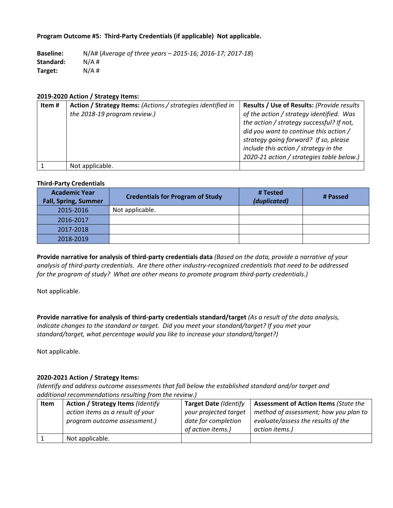### **Program Outcome #5: Third‐Party Credentials (if applicable) Not applicable.**

**Baseline:**  N/A# (*Average of three years – 2015‐16; 2016‐17; 2017‐18*) **Standard:**  N/A # **Target:**  N/A #

### **2019‐2020 Action / Strategy Items:**

| Item # | Action / Strategy Items: (Actions / strategies identified in | Results / Use of Results: (Provide results |
|--------|--------------------------------------------------------------|--------------------------------------------|
|        | the 2018-19 program review.)                                 | of the action / strategy identified. Was   |
|        |                                                              | the action / strategy successful? If not,  |
|        |                                                              | did you want to continue this action /     |
|        |                                                              | strategy going forward? If so, please      |
|        |                                                              | include this action / strategy in the      |
|        |                                                              | 2020-21 action / strategies table below.)  |
|        | Not applicable.                                              |                                            |

#### **Third‐Party Credentials**

| <b>Academic Year</b><br><b>Fall, Spring, Summer</b> | <b>Credentials for Program of Study</b> | # Tested<br>(duplicated) | # Passed |
|-----------------------------------------------------|-----------------------------------------|--------------------------|----------|
| 2015-2016                                           | Not applicable.                         |                          |          |
| 2016-2017                                           |                                         |                          |          |
| 2017-2018                                           |                                         |                          |          |
| 2018-2019                                           |                                         |                          |          |

**Provide narrative for analysis of third‐party credentials data** *(Based on the data, provide a narrative of your analysis of third‐party credentials. Are there other industry‐recognized credentials that need to be addressed for the program of study? What are other means to promote program third‐party credentials.)*

Not applicable.

**Provide narrative for analysis of third‐party credentials standard/target** *(As a result of the data analysis, indicate changes to the standard or target. Did you meet your standard/target? If you met your standard/target, what percentage would you like to increase your standard/target?)* 

Not applicable.

### **2020‐2021 Action / Strategy Items:**

| <b>Item</b> | <b>Action / Strategy Items (Identify</b> | <b>Target Date (Identify</b> | <b>Assessment of Action Items (State the</b> |
|-------------|------------------------------------------|------------------------------|----------------------------------------------|
|             | action items as a result of your         | your projected target        | method of assessment; how you plan to        |
|             | program outcome assessment.)             | date for completion          | evaluate/assess the results of the           |
|             |                                          | of action items.)            | action items.)                               |
|             | Not applicable.                          |                              |                                              |